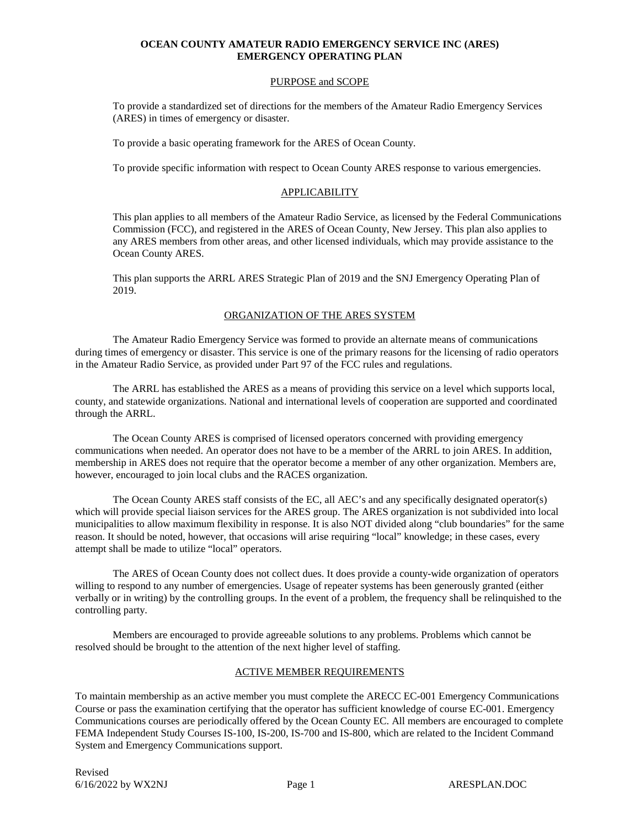#### PURPOSE and SCOPE

To provide a standardized set of directions for the members of the Amateur Radio Emergency Services (ARES) in times of emergency or disaster.

To provide a basic operating framework for the ARES of Ocean County.

To provide specific information with respect to Ocean County ARES response to various emergencies.

#### APPLICABILITY

This plan applies to all members of the Amateur Radio Service, as licensed by the Federal Communications Commission (FCC), and registered in the ARES of Ocean County, New Jersey. This plan also applies to any ARES members from other areas, and other licensed individuals, which may provide assistance to the Ocean County ARES.

This plan supports the ARRL ARES Strategic Plan of 2019 and the SNJ Emergency Operating Plan of 2019.

#### ORGANIZATION OF THE ARES SYSTEM

The Amateur Radio Emergency Service was formed to provide an alternate means of communications during times of emergency or disaster. This service is one of the primary reasons for the licensing of radio operators in the Amateur Radio Service, as provided under Part 97 of the FCC rules and regulations.

The ARRL has established the ARES as a means of providing this service on a level which supports local, county, and statewide organizations. National and international levels of cooperation are supported and coordinated through the ARRL.

The Ocean County ARES is comprised of licensed operators concerned with providing emergency communications when needed. An operator does not have to be a member of the ARRL to join ARES. In addition, membership in ARES does not require that the operator become a member of any other organization. Members are, however, encouraged to join local clubs and the RACES organization.

The Ocean County ARES staff consists of the EC, all AEC's and any specifically designated operator(s) which will provide special liaison services for the ARES group. The ARES organization is not subdivided into local municipalities to allow maximum flexibility in response. It is also NOT divided along "club boundaries" for the same reason. It should be noted, however, that occasions will arise requiring "local" knowledge; in these cases, every attempt shall be made to utilize "local" operators.

The ARES of Ocean County does not collect dues. It does provide a county-wide organization of operators willing to respond to any number of emergencies. Usage of repeater systems has been generously granted (either verbally or in writing) by the controlling groups. In the event of a problem, the frequency shall be relinquished to the controlling party.

Members are encouraged to provide agreeable solutions to any problems. Problems which cannot be resolved should be brought to the attention of the next higher level of staffing.

#### ACTIVE MEMBER REQUIREMENTS

To maintain membership as an active member you must complete the ARECC EC-001 Emergency Communications Course or pass the examination certifying that the operator has sufficient knowledge of course EC-001. Emergency Communications courses are periodically offered by the Ocean County EC. All members are encouraged to complete FEMA Independent Study Courses IS-100, IS-200, IS-700 and IS-800, which are related to the Incident Command System and Emergency Communications support.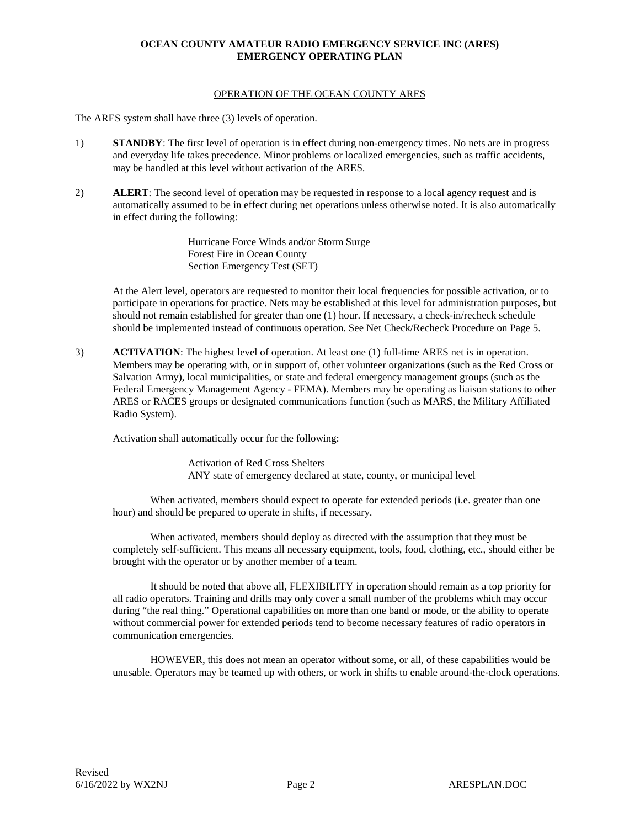#### OPERATION OF THE OCEAN COUNTY ARES

The ARES system shall have three (3) levels of operation.

- 1) **STANDBY**: The first level of operation is in effect during non-emergency times. No nets are in progress and everyday life takes precedence. Minor problems or localized emergencies, such as traffic accidents, may be handled at this level without activation of the ARES.
- 2) **ALERT**: The second level of operation may be requested in response to a local agency request and is automatically assumed to be in effect during net operations unless otherwise noted. It is also automatically in effect during the following:

Hurricane Force Winds and/or Storm Surge Forest Fire in Ocean County Section Emergency Test (SET)

At the Alert level, operators are requested to monitor their local frequencies for possible activation, or to participate in operations for practice. Nets may be established at this level for administration purposes, but should not remain established for greater than one (1) hour. If necessary, a check-in/recheck schedule should be implemented instead of continuous operation. See Net Check/Recheck Procedure on Page 5.

3) **ACTIVATION**: The highest level of operation. At least one (1) full-time ARES net is in operation. Members may be operating with, or in support of, other volunteer organizations (such as the Red Cross or Salvation Army), local municipalities, or state and federal emergency management groups (such as the Federal Emergency Management Agency - FEMA). Members may be operating as liaison stations to other ARES or RACES groups or designated communications function (such as MARS, the Military Affiliated Radio System).

Activation shall automatically occur for the following:

Activation of Red Cross Shelters ANY state of emergency declared at state, county, or municipal level

When activated, members should expect to operate for extended periods (i.e. greater than one hour) and should be prepared to operate in shifts, if necessary.

When activated, members should deploy as directed with the assumption that they must be completely self-sufficient. This means all necessary equipment, tools, food, clothing, etc., should either be brought with the operator or by another member of a team.

It should be noted that above all, FLEXIBILITY in operation should remain as a top priority for all radio operators. Training and drills may only cover a small number of the problems which may occur during "the real thing." Operational capabilities on more than one band or mode, or the ability to operate without commercial power for extended periods tend to become necessary features of radio operators in communication emergencies.

HOWEVER, this does not mean an operator without some, or all, of these capabilities would be unusable. Operators may be teamed up with others, or work in shifts to enable around-the-clock operations.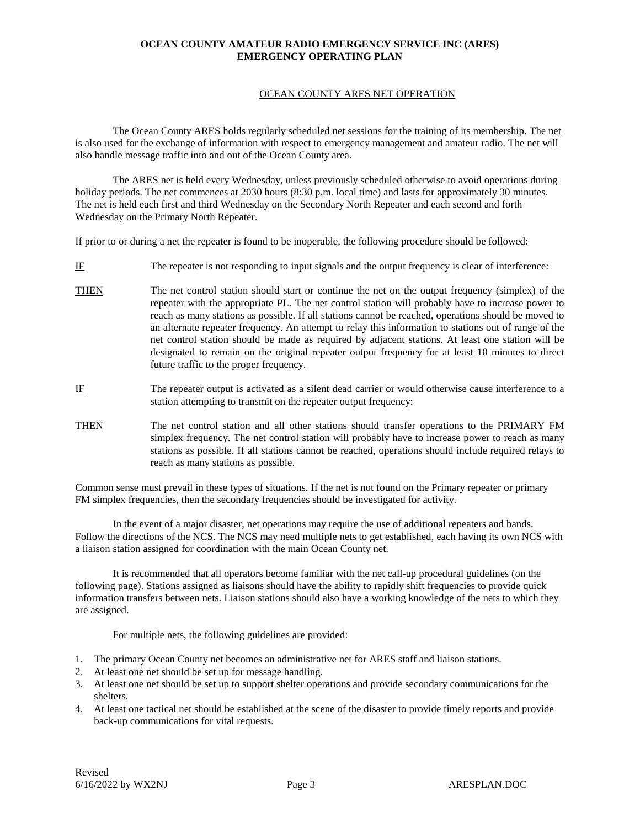#### OCEAN COUNTY ARES NET OPERATION

The Ocean County ARES holds regularly scheduled net sessions for the training of its membership. The net is also used for the exchange of information with respect to emergency management and amateur radio. The net will also handle message traffic into and out of the Ocean County area.

The ARES net is held every Wednesday, unless previously scheduled otherwise to avoid operations during holiday periods. The net commences at 2030 hours (8:30 p.m. local time) and lasts for approximately 30 minutes. The net is held each first and third Wednesday on the Secondary North Repeater and each second and forth Wednesday on the Primary North Repeater.

If prior to or during a net the repeater is found to be inoperable, the following procedure should be followed:

- IF The repeater is not responding to input signals and the output frequency is clear of interference:
- THEN The net control station should start or continue the net on the output frequency (simplex) of the repeater with the appropriate PL. The net control station will probably have to increase power to reach as many stations as possible. If all stations cannot be reached, operations should be moved to an alternate repeater frequency. An attempt to relay this information to stations out of range of the net control station should be made as required by adjacent stations. At least one station will be designated to remain on the original repeater output frequency for at least 10 minutes to direct future traffic to the proper frequency.
- IF The repeater output is activated as a silent dead carrier or would otherwise cause interference to a station attempting to transmit on the repeater output frequency:
- THEN The net control station and all other stations should transfer operations to the PRIMARY FM simplex frequency. The net control station will probably have to increase power to reach as many stations as possible. If all stations cannot be reached, operations should include required relays to reach as many stations as possible.

Common sense must prevail in these types of situations. If the net is not found on the Primary repeater or primary FM simplex frequencies, then the secondary frequencies should be investigated for activity.

In the event of a major disaster, net operations may require the use of additional repeaters and bands. Follow the directions of the NCS. The NCS may need multiple nets to get established, each having its own NCS with a liaison station assigned for coordination with the main Ocean County net.

It is recommended that all operators become familiar with the net call-up procedural guidelines (on the following page). Stations assigned as liaisons should have the ability to rapidly shift frequencies to provide quick information transfers between nets. Liaison stations should also have a working knowledge of the nets to which they are assigned.

For multiple nets, the following guidelines are provided:

- 1. The primary Ocean County net becomes an administrative net for ARES staff and liaison stations.
- 2. At least one net should be set up for message handling.
- 3. At least one net should be set up to support shelter operations and provide secondary communications for the shelters.
- 4. At least one tactical net should be established at the scene of the disaster to provide timely reports and provide back-up communications for vital requests.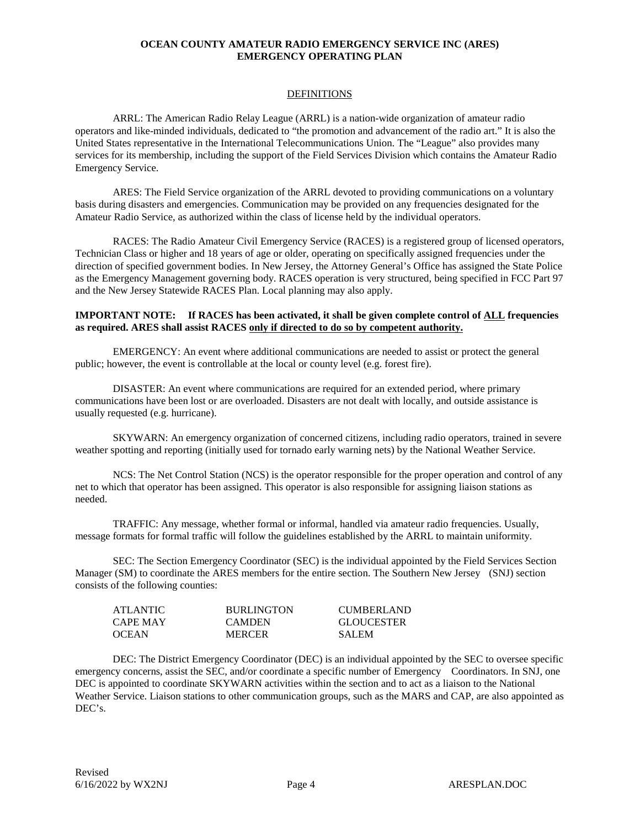#### DEFINITIONS

ARRL: The American Radio Relay League (ARRL) is a nation-wide organization of amateur radio operators and like-minded individuals, dedicated to "the promotion and advancement of the radio art." It is also the United States representative in the International Telecommunications Union. The "League" also provides many services for its membership, including the support of the Field Services Division which contains the Amateur Radio Emergency Service.

ARES: The Field Service organization of the ARRL devoted to providing communications on a voluntary basis during disasters and emergencies. Communication may be provided on any frequencies designated for the Amateur Radio Service, as authorized within the class of license held by the individual operators.

RACES: The Radio Amateur Civil Emergency Service (RACES) is a registered group of licensed operators, Technician Class or higher and 18 years of age or older, operating on specifically assigned frequencies under the direction of specified government bodies. In New Jersey, the Attorney General's Office has assigned the State Police as the Emergency Management governing body. RACES operation is very structured, being specified in FCC Part 97 and the New Jersey Statewide RACES Plan. Local planning may also apply.

#### **IMPORTANT NOTE: If RACES has been activated, it shall be given complete control of ALL frequencies as required. ARES shall assist RACES only if directed to do so by competent authority.**

EMERGENCY: An event where additional communications are needed to assist or protect the general public; however, the event is controllable at the local or county level (e.g. forest fire).

DISASTER: An event where communications are required for an extended period, where primary communications have been lost or are overloaded. Disasters are not dealt with locally, and outside assistance is usually requested (e.g. hurricane).

SKYWARN: An emergency organization of concerned citizens, including radio operators, trained in severe weather spotting and reporting (initially used for tornado early warning nets) by the National Weather Service.

NCS: The Net Control Station (NCS) is the operator responsible for the proper operation and control of any net to which that operator has been assigned. This operator is also responsible for assigning liaison stations as needed.

TRAFFIC: Any message, whether formal or informal, handled via amateur radio frequencies. Usually, message formats for formal traffic will follow the guidelines established by the ARRL to maintain uniformity.

SEC: The Section Emergency Coordinator (SEC) is the individual appointed by the Field Services Section Manager (SM) to coordinate the ARES members for the entire section. The Southern New Jersey (SNJ) section consists of the following counties:

| ATLANTIC     | <b>BURLINGTON</b> | <b>CUMBERLAND</b> |
|--------------|-------------------|-------------------|
| CAPE MAY     | <b>CAMDEN</b>     | <b>GLOUCESTER</b> |
| <b>OCEAN</b> | <b>MERCER</b>     | <b>SALEM</b>      |

DEC: The District Emergency Coordinator (DEC) is an individual appointed by the SEC to oversee specific emergency concerns, assist the SEC, and/or coordinate a specific number of Emergency Coordinators. In SNJ, one DEC is appointed to coordinate SKYWARN activities within the section and to act as a liaison to the National Weather Service. Liaison stations to other communication groups, such as the MARS and CAP, are also appointed as DEC's.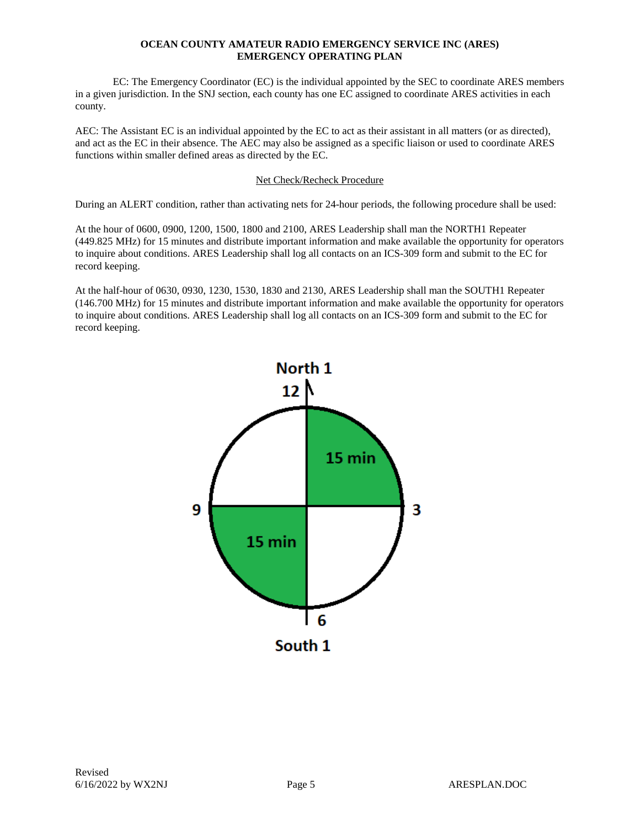EC: The Emergency Coordinator (EC) is the individual appointed by the SEC to coordinate ARES members in a given jurisdiction. In the SNJ section, each county has one EC assigned to coordinate ARES activities in each county.

AEC: The Assistant EC is an individual appointed by the EC to act as their assistant in all matters (or as directed), and act as the EC in their absence. The AEC may also be assigned as a specific liaison or used to coordinate ARES functions within smaller defined areas as directed by the EC.

#### Net Check/Recheck Procedure

During an ALERT condition, rather than activating nets for 24-hour periods, the following procedure shall be used:

At the hour of 0600, 0900, 1200, 1500, 1800 and 2100, ARES Leadership shall man the NORTH1 Repeater (449.825 MHz) for 15 minutes and distribute important information and make available the opportunity for operators to inquire about conditions. ARES Leadership shall log all contacts on an ICS-309 form and submit to the EC for record keeping.

At the half-hour of 0630, 0930, 1230, 1530, 1830 and 2130, ARES Leadership shall man the SOUTH1 Repeater (146.700 MHz) for 15 minutes and distribute important information and make available the opportunity for operators to inquire about conditions. ARES Leadership shall log all contacts on an ICS-309 form and submit to the EC for record keeping.

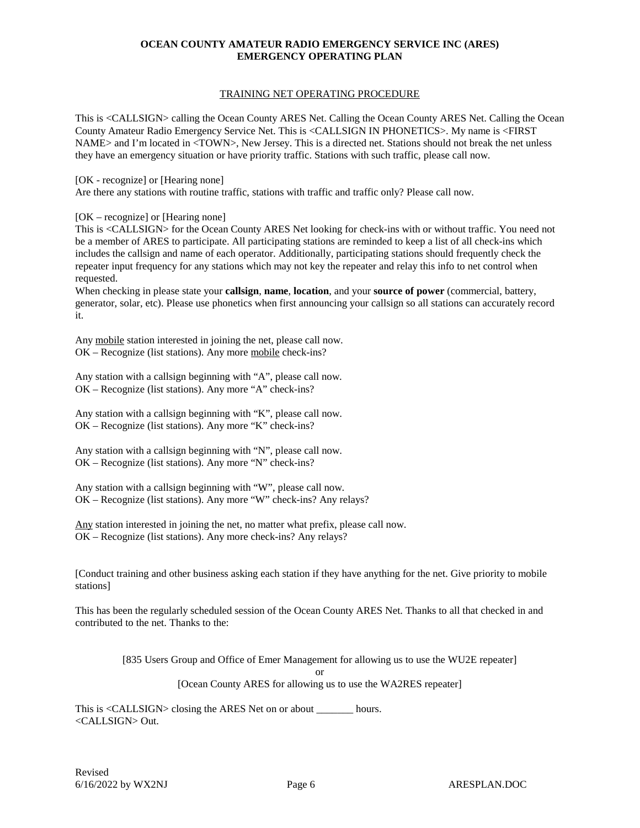#### TRAINING NET OPERATING PROCEDURE

This is <CALLSIGN> calling the Ocean County ARES Net. Calling the Ocean County ARES Net. Calling the Ocean County Amateur Radio Emergency Service Net. This is <CALLSIGN IN PHONETICS>. My name is <FIRST NAME> and I'm located in <TOWN>, New Jersey. This is a directed net. Stations should not break the net unless they have an emergency situation or have priority traffic. Stations with such traffic, please call now.

[OK - recognize] or [Hearing none]

Are there any stations with routine traffic, stations with traffic and traffic only? Please call now.

[OK – recognize] or [Hearing none]

This is <CALLSIGN> for the Ocean County ARES Net looking for check-ins with or without traffic. You need not be a member of ARES to participate. All participating stations are reminded to keep a list of all check-ins which includes the callsign and name of each operator. Additionally, participating stations should frequently check the repeater input frequency for any stations which may not key the repeater and relay this info to net control when requested.

When checking in please state your **callsign**, **name**, **location**, and your **source of power** (commercial, battery, generator, solar, etc). Please use phonetics when first announcing your callsign so all stations can accurately record it.

Any mobile station interested in joining the net, please call now. OK – Recognize (list stations). Any more mobile check-ins?

Any station with a callsign beginning with "A", please call now. OK – Recognize (list stations). Any more "A" check-ins?

Any station with a callsign beginning with "K", please call now. OK – Recognize (list stations). Any more "K" check-ins?

Any station with a callsign beginning with "N", please call now. OK – Recognize (list stations). Any more "N" check-ins?

Any station with a callsign beginning with "W", please call now. OK – Recognize (list stations). Any more "W" check-ins? Any relays?

Any station interested in joining the net, no matter what prefix, please call now. OK – Recognize (list stations). Any more check-ins? Any relays?

[Conduct training and other business asking each station if they have anything for the net. Give priority to mobile stations]

This has been the regularly scheduled session of the Ocean County ARES Net. Thanks to all that checked in and contributed to the net. Thanks to the:

[835 Users Group and Office of Emer Management for allowing us to use the WU2E repeater]

or

[Ocean County ARES for allowing us to use the WA2RES repeater]

This is <CALLSIGN> closing the ARES Net on or about hours. <CALLSIGN> Out.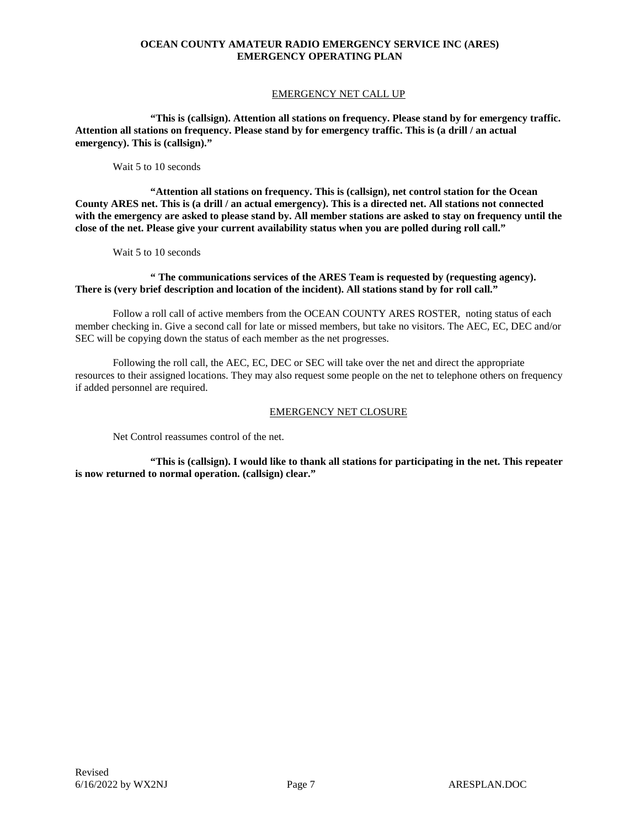#### EMERGENCY NET CALL UP

**"This is (callsign). Attention all stations on frequency. Please stand by for emergency traffic. Attention all stations on frequency. Please stand by for emergency traffic. This is (a drill / an actual emergency). This is (callsign)."**

Wait 5 to 10 seconds

**"Attention all stations on frequency. This is (callsign), net control station for the Ocean County ARES net. This is (a drill / an actual emergency). This is a directed net. All stations not connected with the emergency are asked to please stand by. All member stations are asked to stay on frequency until the close of the net. Please give your current availability status when you are polled during roll call."**

Wait 5 to 10 seconds

#### **" The communications services of the ARES Team is requested by (requesting agency). There is (very brief description and location of the incident). All stations stand by for roll call."**

Follow a roll call of active members from the OCEAN COUNTY ARES ROSTER, noting status of each member checking in. Give a second call for late or missed members, but take no visitors. The AEC, EC, DEC and/or SEC will be copying down the status of each member as the net progresses.

Following the roll call, the AEC, EC, DEC or SEC will take over the net and direct the appropriate resources to their assigned locations. They may also request some people on the net to telephone others on frequency if added personnel are required.

#### EMERGENCY NET CLOSURE

Net Control reassumes control of the net.

**"This is (callsign). I would like to thank all stations for participating in the net. This repeater is now returned to normal operation. (callsign) clear."**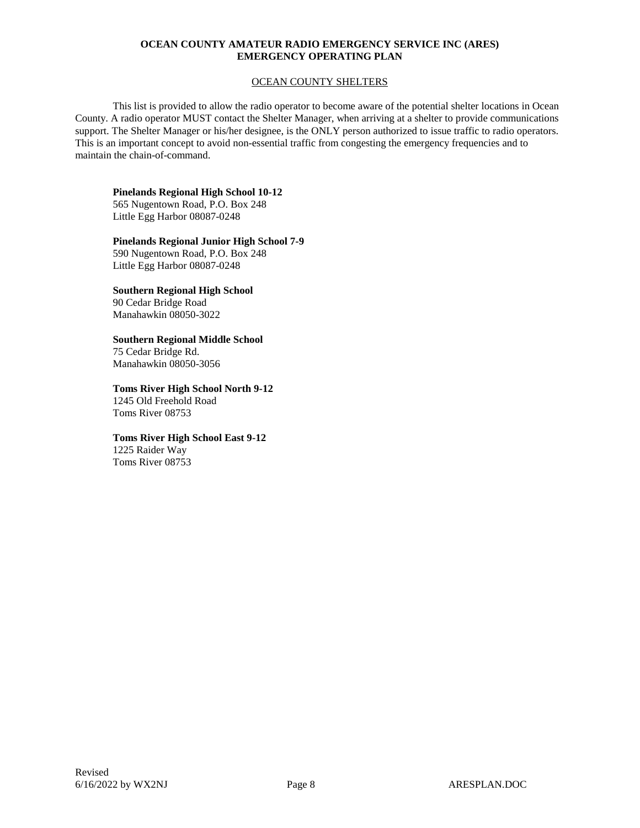#### OCEAN COUNTY SHELTERS

This list is provided to allow the radio operator to become aware of the potential shelter locations in Ocean County. A radio operator MUST contact the Shelter Manager, when arriving at a shelter to provide communications support. The Shelter Manager or his/her designee, is the ONLY person authorized to issue traffic to radio operators. This is an important concept to avoid non-essential traffic from congesting the emergency frequencies and to maintain the chain-of-command.

#### **Pinelands Regional High School 10-12**

565 Nugentown Road, P.O. Box 248 Little Egg Harbor 08087-0248

#### **Pinelands Regional Junior High School 7-9**

590 Nugentown Road, P.O. Box 248 Little Egg Harbor 08087-0248

#### **Southern Regional High School** 90 Cedar Bridge Road

Manahawkin 08050-3022

## **Southern Regional Middle School**

75 Cedar Bridge Rd. Manahawkin 08050-3056

#### **Toms River High School North 9-12** 1245 Old Freehold Road Toms River 08753

# **Toms River High School East 9-12**

1225 Raider Way Toms River 08753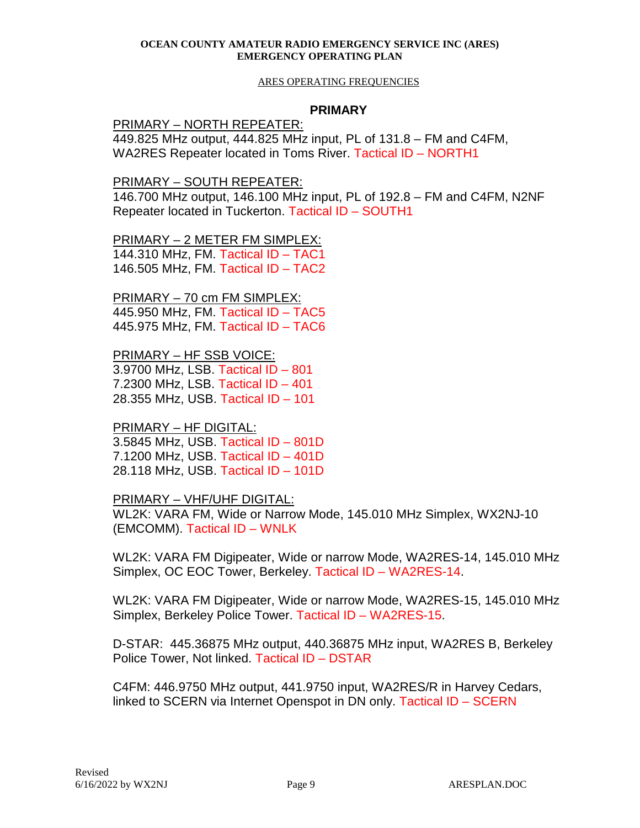#### ARES OPERATING FREQUENCIES

## **PRIMARY**

PRIMARY – NORTH REPEATER:

449.825 MHz output, 444.825 MHz input, PL of 131.8 – FM and C4FM, WA2RES Repeater located in Toms River. Tactical ID – NORTH1

PRIMARY – SOUTH REPEATER:

146.700 MHz output, 146.100 MHz input, PL of 192.8 – FM and C4FM, N2NF Repeater located in Tuckerton. Tactical ID – SOUTH1

PRIMARY – 2 METER FM SIMPLEX:

144.310 MHz, FM. Tactical ID – TAC1 146.505 MHz, FM. Tactical ID – TAC2

PRIMARY – 70 cm FM SIMPLEX: 445.950 MHz, FM. Tactical ID – TAC5 445.975 MHz, FM. Tactical ID – TAC6

PRIMARY – HF SSB VOICE: 3.9700 MHz, LSB. Tactical ID – 801 7.2300 MHz, LSB. Tactical ID – 401 28.355 MHz, USB. Tactical ID – 101

PRIMARY – HF DIGITAL:

3.5845 MHz, USB. Tactical ID – 801D 7.1200 MHz, USB. Tactical ID – 401D 28.118 MHz, USB. Tactical ID – 101D

PRIMARY – VHF/UHF DIGITAL:

WL2K: VARA FM, Wide or Narrow Mode, 145.010 MHz Simplex, WX2NJ-10 (EMCOMM). Tactical ID – WNLK

WL2K: VARA FM Digipeater, Wide or narrow Mode, WA2RES-14, 145.010 MHz Simplex, OC EOC Tower, Berkeley. Tactical ID – WA2RES-14.

WL2K: VARA FM Digipeater, Wide or narrow Mode, WA2RES-15, 145.010 MHz Simplex, Berkeley Police Tower. Tactical ID – WA2RES-15.

D-STAR: 445.36875 MHz output, 440.36875 MHz input, WA2RES B, Berkeley Police Tower, Not linked. Tactical ID – DSTAR

C4FM: 446.9750 MHz output, 441.9750 input, WA2RES/R in Harvey Cedars, linked to SCERN via Internet Openspot in DN only. Tactical ID – SCERN